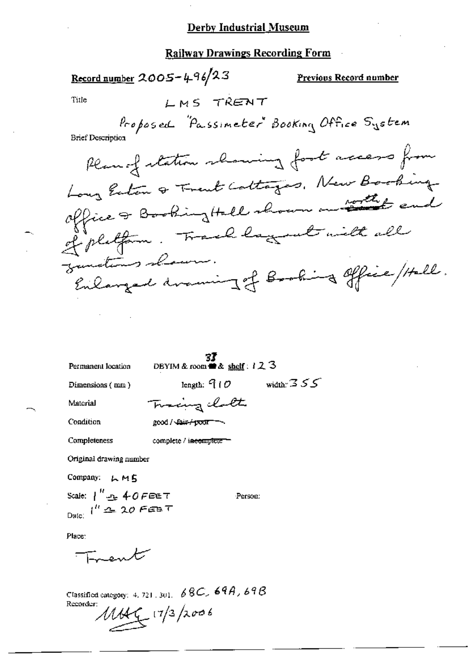#### Derby Industrial Museum

#### **Railway Drawings Recording Form**

Record number  $2005 - 496/23$ Previous Record number LMS TRENT Title Proposed "Passimeter" Booking Office System **Brief Description** Plan of station showing foot access from Long Enton & Trent Cottages, New Booking office & Booking Hall shown on that end of platform. Frank lagement with all junctions shown. Enlarged draming of Booking office / Hell.

Permanent location

**33**<br>DBYIM & room **and** & shelf:  $123$ 

Dimensions (mm)

width:  $355$ length:  $910$ 

Material

Tracing chath good / Cair/poor -

Condition Completeness

complete / incomplete

Original drawing number

Company: LMS

Scale:  $\int_0^R x \cdot \frac{1}{2} \cdot \int_0^R \theta \cdot \theta \cdot d\theta$ Date:  $i^R = 20$  FEB T

Person:

Place:

En ent

Classified category: 4, 721, 301,  $68C$ ,  $69A$ ,  $69B$ Recorder:  $1144$   $(7/3)2006$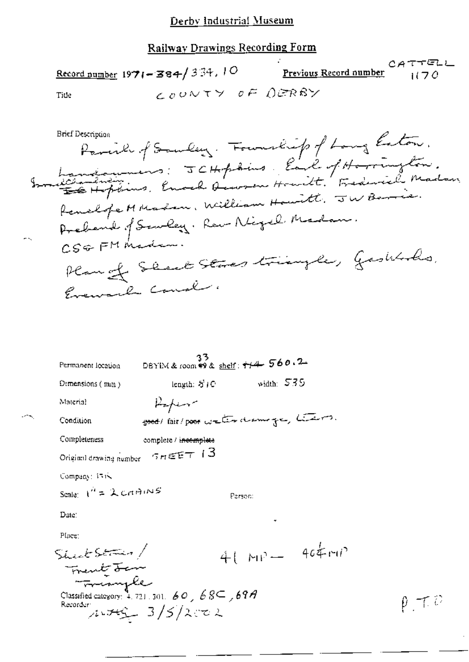# **Railway Drawings Recording Form**

|      | $\frac{\text{Record number}}{1971 - 384}$ /334, 10 | <u>Previous Record number</u> $(70$ | CATTEL |
|------|----------------------------------------------------|-------------------------------------|--------|
| Tiue | <sub>C 0</sub> 0NTY OF OGRBY                       |                                     |        |

| Permanent location                                                                                                       | 33<br>DBYIM & room $\frac{26}{3}$ & shelf: $\frac{1}{4}$ $\frac{1}{4}$ $\frac{1}{4}$ $\frac{1}{4}$ $\frac{1}{4}$ $\frac{1}{4}$ $\frac{1}{4}$ $\frac{1}{4}$ $\frac{1}{4}$ $\frac{1}{4}$ $\frac{1}{4}$ $\frac{1}{4}$ $\frac{1}{4}$ $\frac{1}{4}$ $\frac{1}{4}$ $\frac{1}{4}$ $\frac{1}{4}$ $\frac{1}{4}$ $\frac{1}{4}$ |  |  |  |
|--------------------------------------------------------------------------------------------------------------------------|----------------------------------------------------------------------------------------------------------------------------------------------------------------------------------------------------------------------------------------------------------------------------------------------------------------------|--|--|--|
| Demensions $(mn)$                                                                                                        | width: $535$<br>length: 5 (C)                                                                                                                                                                                                                                                                                        |  |  |  |
| Material                                                                                                                 | Report                                                                                                                                                                                                                                                                                                               |  |  |  |
| Condition                                                                                                                | good/ fair/poor weter drame ge, there are.                                                                                                                                                                                                                                                                           |  |  |  |
| Completeness                                                                                                             | complete / incomplete                                                                                                                                                                                                                                                                                                |  |  |  |
| Original drawing number $\sigma_H \in E \top$   3                                                                        |                                                                                                                                                                                                                                                                                                                      |  |  |  |
| Company: 1515                                                                                                            |                                                                                                                                                                                                                                                                                                                      |  |  |  |
| Scale $1'' = \lambda$ crimings                                                                                           | Person:                                                                                                                                                                                                                                                                                                              |  |  |  |
| Date:                                                                                                                    |                                                                                                                                                                                                                                                                                                                      |  |  |  |
| Place:                                                                                                                   |                                                                                                                                                                                                                                                                                                                      |  |  |  |
| Sheek String/                                                                                                            | $40MP - 404MP$                                                                                                                                                                                                                                                                                                       |  |  |  |
| Frent Ten<br>Frismple<br>Classified category: $4.721,301,50$ , $68\subseteq$ , $69A$<br>Recorder:<br>$1.782 - 3/5/2.002$ |                                                                                                                                                                                                                                                                                                                      |  |  |  |

 $\rho \rightarrow \tilde{e}$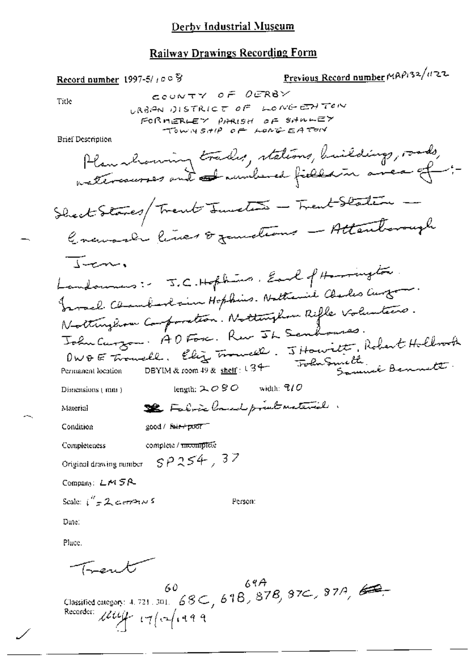### Derby Industrial Museum

#### **Railway Drawings Recording Form**

Previous Record number MAP132/1122 Record number 1997-5/100 S COUNTY OF OERBY Title URBIAN DISTRICT OF LONGENTON FORMERLEY PARISH OF SHALEY TOWNSHIP OF LONGEATORY **Brief Description** Plan showing trades, stations, building, roads, nattercourses and and numbered fields in anea of :-Shock Starts/ Trent Junction - Trent Station Gravage lives & zondians - Attentonagh Turn Landounes: J.C. Hopkins, Earl of Harrington. Fromal Chamberlain Hopkins. Nattenie Charles Curton. Northughow Composition. Nottinghow Rifle Voluntars. John Curzon. A O Forc. Rev JL Senhouses. OWOE Travell. Eliz Travell. JHowritt, Robert Hollrock <del>Tol</del>uSmeth, Bennett DBYIM & room 49 & shelf: U34-Permanent location length:  $2.080$  width:  $7/0$ Dimensions (mm) Se Fabric land print material. Material good / fair+poor Condition Completeness complete / mcomplete Original drawing number  $SP$   $254$ ,  $37$ Company: LM5R Scale:  $i'' = 2$  certains Person: Date: Place. Trent Classified category: 4, 721, 301,  $68C$ ,  $618$ ,  $878$ ,  $97C$ ,  $97A$ ,  $69C$ , Recorder: Lettiff 17/10/1999